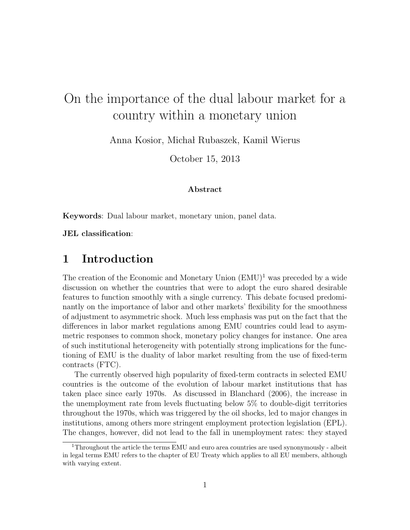# On the importance of the dual labour market for a country within a monetary union

Anna Kosior, Michał Rubaszek, Kamil Wierus

October 15, 2013

#### **Abstract**

**Keywords**: Dual labour market, monetary union, panel data.

**JEL classification**:

# **1 Introduction**

The creation of the Economic and Monetary Union  $(EMU)^1$  was preceded by a wide discussion on whether the countries that were to adopt the euro shared desirable features to function smoothly with a single currency. This debate focused predominantly on the importance of labor and other markets' flexibility for the smoothness of adjustment to asymmetric shock. Much less emphasis was put on the fact that the differences in labor market regulations among EMU countries could lead to asymmetric responses to common shock, monetary policy changes for instance. One area of such institutional heterogeneity with potentially strong implications for the functioning of EMU is the duality of labor market resulting from the use of fixed-term contracts (FTC).

The currently observed high popularity of fixed-term contracts in selected EMU countries is the outcome of the evolution of labour market institutions that has taken place since early 1970s. As discussed in Blanchard (2006), the increase in the unemployment rate from levels fluctuating below 5% to double-digit territories throughout the 1970s, which was triggered by the oil shocks, led to major changes in institutions, among others more stringent employment protection legislation (EPL). The changes, however, did not lead to the fall in unemployment rates: they stayed

<sup>&</sup>lt;sup>1</sup>Throughout the article the terms EMU and euro area countries are used synonymously - albeit in legal terms EMU refers to the chapter of EU Treaty which applies to all EU members, although with varying extent.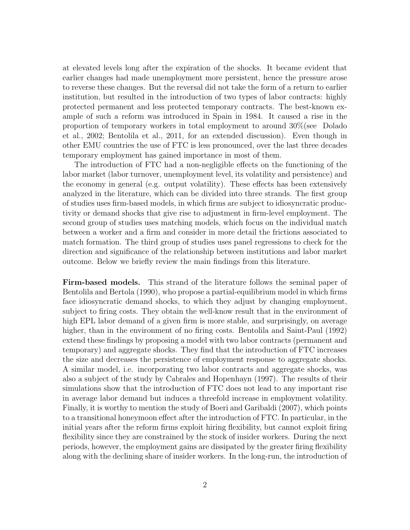at elevated levels long after the expiration of the shocks. It became evident that earlier changes had made unemployment more persistent, hence the pressure arose to reverse these changes. But the reversal did not take the form of a return to earlier institution, but resulted in the introduction of two types of labor contracts: highly protected permanent and less protected temporary contracts. The best-known example of such a reform was introduced in Spain in 1984. It caused a rise in the proportion of temporary workers in total employment to around 30%(see Dolado et al., 2002; Bentolila et al., 2011, for an extended discussion). Even though in other EMU countries the use of FTC is less pronounced, over the last three decades temporary employment has gained importance in most of them.

The introduction of FTC had a non-negligible effects on the functioning of the labor market (labor turnover, unemployment level, its volatility and persistence) and the economy in general (e.g. output volatility). These effects has been extensively analyzed in the literature, which can be divided into three strands. The first group of studies uses firm-based models, in which firms are subject to idiosyncratic productivity or demand shocks that give rise to adjustment in firm-level employment. The second group of studies uses matching models, which focus on the individual match between a worker and a firm and consider in more detail the frictions associated to match formation. The third group of studies uses panel regressions to check for the direction and significance of the relationship between institutions and labor market outcome. Below we briefly review the main findings from this literature.

**Firm-based models.** This strand of the literature follows the seminal paper of Bentolila and Bertola (1990), who propose a partial-equilibrium model in which firms face idiosyncratic demand shocks, to which they adjust by changing employment, subject to firing costs. They obtain the well-know result that in the environment of high EPL labor demand of a given firm is more stable, and surprisingly, on average higher, than in the environment of no firing costs. Bentolila and Saint-Paul (1992) extend these findings by proposing a model with two labor contracts (permanent and temporary) and aggregate shocks. They find that the introduction of FTC increases the size and decreases the persistence of employment response to aggregate shocks. A similar model, i.e. incorporating two labor contracts and aggregate shocks, was also a subject of the study by Cabrales and Hopenhayn (1997). The results of their simulations show that the introduction of FTC does not lead to any important rise in average labor demand but induces a threefold increase in employment volatility. Finally, it is worthy to mention the study of Boeri and Garibaldi (2007), which points to a transitional honeymoon effect after the introduction of FTC. In particular, in the initial years after the reform firms exploit hiring flexibility, but cannot exploit firing flexibility since they are constrained by the stock of insider workers. During the next periods, however, the employment gains are dissipated by the greater firing flexibility along with the declining share of insider workers. In the long-run, the introduction of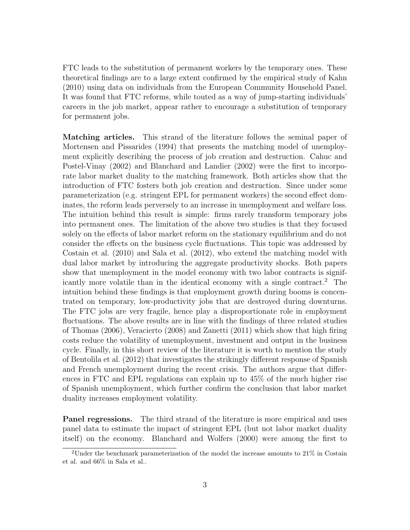FTC leads to the substitution of permanent workers by the temporary ones. These theoretical findings are to a large extent confirmed by the empirical study of Kahn (2010) using data on individuals from the European Community Household Panel. It was found that FTC reforms, while touted as a way of jump-starting individuals' careers in the job market, appear rather to encourage a substitution of temporary for permanent jobs.

**Matching articles.** This strand of the literature follows the seminal paper of Mortensen and Pissarides (1994) that presents the matching model of unemployment explicitly describing the process of job creation and destruction. Cahuc and Postel-Vinay (2002) and Blanchard and Landier (2002) were the first to incorporate labor market duality to the matching framework. Both articles show that the introduction of FTC fosters both job creation and destruction. Since under some parameterization (e.g. stringent EPL for permanent workers) the second effect dominates, the reform leads perversely to an increase in unemployment and welfare loss. The intuition behind this result is simple: firms rarely transform temporary jobs into permanent ones. The limitation of the above two studies is that they focused solely on the effects of labor market reform on the stationary equilibrium and do not consider the effects on the business cycle fluctuations. This topic was addressed by Costain et al. (2010) and Sala et al. (2012), who extend the matching model with dual labor market by introducing the aggregate productivity shocks. Both papers show that unemployment in the model economy with two labor contracts is significantly more volatile than in the identical economy with a single contract.<sup>2</sup> The intuition behind these findings is that employment growth during booms is concentrated on temporary, low-productivity jobs that are destroyed during downturns. The FTC jobs are very fragile, hence play a disproportionate role in employment fluctuations. The above results are in line with the findings of three related studies of Thomas (2006), Veracierto (2008) and Zanetti (2011) which show that high firing costs reduce the volatility of unemployment, investment and output in the business cycle. Finally, in this short review of the literature it is worth to mention the study of Bentolila et al. (2012) that investigates the strikingly different response of Spanish and French unemployment during the recent crisis. The authors argue that differences in FTC and EPL regulations can explain up to 45% of the much higher rise of Spanish unemployment, which further confirm the conclusion that labor market duality increases employment volatility.

**Panel regressions.** The third strand of the literature is more empirical and uses panel data to estimate the impact of stringent EPL (but not labor market duality itself) on the economy. Blanchard and Wolfers (2000) were among the first to

 $2$ Under the benchmark parameterization of the model the increase amounts to  $21\%$  in Costain et al. and 66% in Sala et al..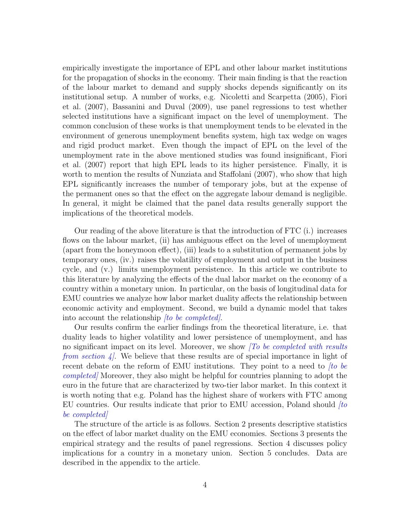empirically investigate the importance of EPL and other labour market institutions for the propagation of shocks in the economy. Their main finding is that the reaction of the labour market to demand and supply shocks depends significantly on its institutional setup. A number of works, e.g. Nicoletti and Scarpetta (2005), Fiori et al. (2007), Bassanini and Duval (2009), use panel regressions to test whether selected institutions have a significant impact on the level of unemployment. The common conclusion of these works is that unemployment tends to be elevated in the environment of generous unemployment benefits system, high tax wedge on wages and rigid product market. Even though the impact of EPL on the level of the unemployment rate in the above mentioned studies was found insignificant, Fiori et al. (2007) report that high EPL leads to its higher persistence. Finally, it is worth to mention the results of Nunziata and Staffolani (2007), who show that high EPL significantly increases the number of temporary jobs, but at the expense of the permanent ones so that the effect on the aggregate labour demand is negligible. In general, it might be claimed that the panel data results generally support the implications of the theoretical models.

Our reading of the above literature is that the introduction of FTC (i.) increases flows on the labour market, (ii) has ambiguous effect on the level of unemployment (apart from the honeymoon effect), (iii) leads to a substitution of permanent jobs by temporary ones, (iv.) raises the volatility of employment and output in the business cycle, and (v.) limits unemployment persistence. In this article we contribute to this literature by analyzing the effects of the dual labor market on the economy of a country within a monetary union. In particular, on the basis of longitudinal data for EMU countries we analyze how labor market duality affects the relationship between economic activity and employment. Second, we build a dynamic model that takes into account the relationship *[to be completed]*.

Our results confirm the earlier findings from the theoretical literature, i.e. that duality leads to higher volatility and lower persistence of unemployment, and has no significant impact on its level. Moreover, we show *[To be completed with results from section 4.* We believe that these results are of special importance in light of recent debate on the reform of EMU institutions. They point to a need to *[to be completed]* Moreover, they also might be helpful for countries planning to adopt the euro in the future that are characterized by two-tier labor market. In this context it is worth noting that e.g. Poland has the highest share of workers with FTC among EU countries. Our results indicate that prior to EMU accession, Poland should *[to be completed]*

The structure of the article is as follows. Section 2 presents descriptive statistics on the effect of labor market duality on the EMU economies. Sections 3 presents the empirical strategy and the results of panel regressions. Section 4 discusses policy implications for a country in a monetary union. Section 5 concludes. Data are described in the appendix to the article.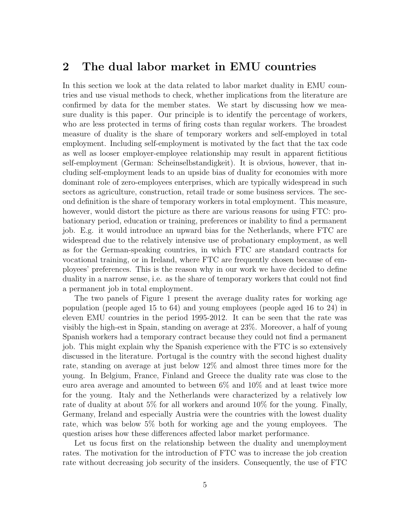### **2 The dual labor market in EMU countries**

In this section we look at the data related to labor market duality in EMU countries and use visual methods to check, whether implications from the literature are confirmed by data for the member states. We start by discussing how we measure duality is this paper. Our principle is to identify the percentage of workers, who are less protected in terms of firing costs than regular workers. The broadest measure of duality is the share of temporary workers and self-employed in total employment. Including self-employment is motivated by the fact that the tax code as well as looser employer-employee relationship may result in apparent fictitious self-employment (German: Scheinselbstandigkeit). It is obvious, however, that including self-employment leads to an upside bias of duality for economies with more dominant role of zero-employees enterprises, which are typically widespread in such sectors as agriculture, construction, retail trade or some business services. The second definition is the share of temporary workers in total employment. This measure, however, would distort the picture as there are various reasons for using FTC: probationary period, education or training, preferences or inability to find a permanent job. E.g. it would introduce an upward bias for the Netherlands, where FTC are widespread due to the relatively intensive use of probationary employment, as well as for the German-speaking countries, in which FTC are standard contracts for vocational training, or in Ireland, where FTC are frequently chosen because of employees' preferences. This is the reason why in our work we have decided to define duality in a narrow sense, i.e. as the share of temporary workers that could not find a permanent job in total employment.

The two panels of Figure 1 present the average duality rates for working age population (people aged 15 to 64) and young employees (people aged 16 to 24) in eleven EMU countries in the period 1995-2012. It can be seen that the rate was visibly the high-est in Spain, standing on average at 23%. Moreover, a half of young Spanish workers had a temporary contract because they could not find a permanent job. This might explain why the Spanish experience with the FTC is so extensively discussed in the literature. Portugal is the country with the second highest duality rate, standing on average at just below 12% and almost three times more for the young. In Belgium, France, Finland and Greece the duality rate was close to the euro area average and amounted to between 6% and 10% and at least twice more for the young. Italy and the Netherlands were characterized by a relatively low rate of duality at about 5% for all workers and around 10% for the young. Finally, Germany, Ireland and especially Austria were the countries with the lowest duality rate, which was below 5% both for working age and the young employees. The question arises how these differences affected labor market performance.

Let us focus first on the relationship between the duality and unemployment rates. The motivation for the introduction of FTC was to increase the job creation rate without decreasing job security of the insiders. Consequently, the use of FTC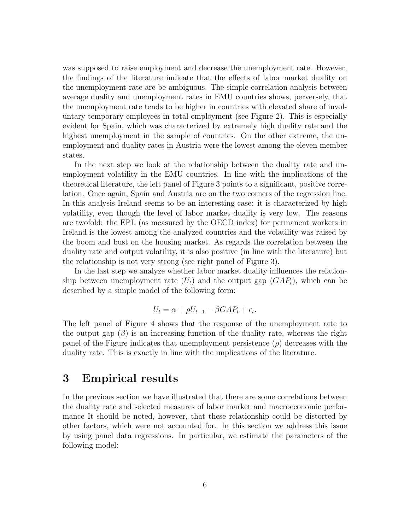was supposed to raise employment and decrease the unemployment rate. However, the findings of the literature indicate that the effects of labor market duality on the unemployment rate are be ambiguous. The simple correlation analysis between average duality and unemployment rates in EMU countries shows, perversely, that the unemployment rate tends to be higher in countries with elevated share of involuntary temporary employees in total employment (see Figure 2). This is especially evident for Spain, which was characterized by extremely high duality rate and the highest unemployment in the sample of countries. On the other extreme, the unemployment and duality rates in Austria were the lowest among the eleven member states.

In the next step we look at the relationship between the duality rate and unemployment volatility in the EMU countries. In line with the implications of the theoretical literature, the left panel of Figure 3 points to a significant, positive correlation. Once again, Spain and Austria are on the two corners of the regression line. In this analysis Ireland seems to be an interesting case: it is characterized by high volatility, even though the level of labor market duality is very low. The reasons are twofold: the EPL (as measured by the OECD index) for permanent workers in Ireland is the lowest among the analyzed countries and the volatility was raised by the boom and bust on the housing market. As regards the correlation between the duality rate and output volatility, it is also positive (in line with the literature) but the relationship is not very strong (see right panel of Figure 3).

In the last step we analyze whether labor market duality influences the relationship between unemployment rate  $(U_t)$  and the output gap  $(GAP_t)$ , which can be described by a simple model of the following form:

$$
U_t = \alpha + \rho U_{t-1} - \beta G A P_t + \epsilon_t.
$$

The left panel of Figure 4 shows that the response of the unemployment rate to the output gap  $(\beta)$  is an increasing function of the duality rate, whereas the right panel of the Figure indicates that unemployment persistence  $(\rho)$  decreases with the duality rate. This is exactly in line with the implications of the literature.

# **3 Empirical results**

In the previous section we have illustrated that there are some correlations between the duality rate and selected measures of labor market and macroeconomic performance It should be noted, however, that these relationship could be distorted by other factors, which were not accounted for. In this section we address this issue by using panel data regressions. In particular, we estimate the parameters of the following model: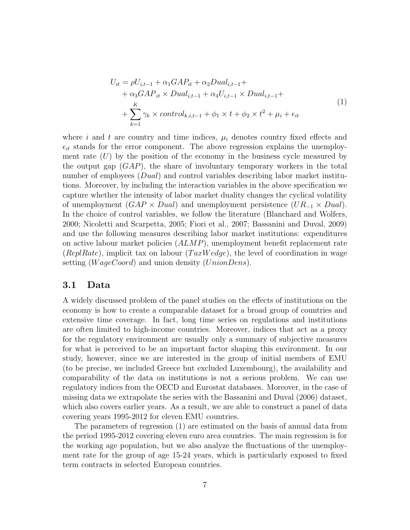$$
U_{it} = \rho U_{i,t-1} + \alpha_1 GAP_{it} + \alpha_2 Dual_{i,t-1} +
$$
  
+  $\alpha_3 GAP_{it} \times Dual_{i,t-1} + \alpha_4 U_{i,t-1} \times Dual_{i,t-1} +$   
+  $\sum_{k=1}^{K} \gamma_k \times control_{k,i,t-1} + \phi_1 \times t + \phi_2 \times t^2 + \mu_i + \epsilon_{it}$  (1)

where  $i$  and  $t$  are country and time indices,  $\mu_i$  denotes country fixed effects and  $\epsilon_{it}$  stands for the error component. The above regression explains the unemployment rate (*U*) by the position of the economy in the business cycle measured by the output gap (*GAP*), the share of involuntary temporary workers in the total number of employees (*Dual*) and control variables describing labor market institutions. Moreover, by including the interaction variables in the above specification we capture whether the intensity of labor market duality changes the cyclical volatility of unemployment (*GAP × Dual*) and unemployment persistence (*UR−*<sup>1</sup> *× Dual*). In the choice of control variables, we follow the literature (Blanchard and Wolfers, 2000; Nicoletti and Scarpetta, 2005; Fiori et al., 2007; Bassanini and Duval, 2009) and use the following measures describing labor market institutions: expenditures on active labour market policies (*ALMP*), unemployment benefit replacement rate (*ReplRate*), implicit tax on labour (*T axW edge*), the level of coordination in wage setting (*W ageCoord*) and union density (*UnionDens*).

#### **3.1 Data**

A widely discussed problem of the panel studies on the effects of institutions on the economy is how to create a comparable dataset for a broad group of countries and extensive time coverage. In fact, long time series on regulations and institutions are often limited to high-income countries. Moreover, indices that act as a proxy for the regulatory environment are usually only a summary of subjective measures for what is perceived to be an important factor shaping this environment. In our study, however, since we are interested in the group of initial members of EMU (to be precise, we included Greece but excluded Luxembourg), the availability and comparability of the data on institutions is not a serious problem. We can use regulatory indices from the OECD and Eurostat databases. Moreover, in the case of missing data we extrapolate the series with the Bassanini and Duval (2006) dataset, which also covers earlier years. As a result, we are able to construct a panel of data covering years 1995-2012 for eleven EMU countries.

The parameters of regression (1) are estimated on the basis of annual data from the period 1995-2012 covering eleven euro area countries. The main regression is for the working age population, but we also analyze the fluctuations of the unemployment rate for the group of age 15-24 years, which is particularly exposed to fixed term contracts in selected European countries.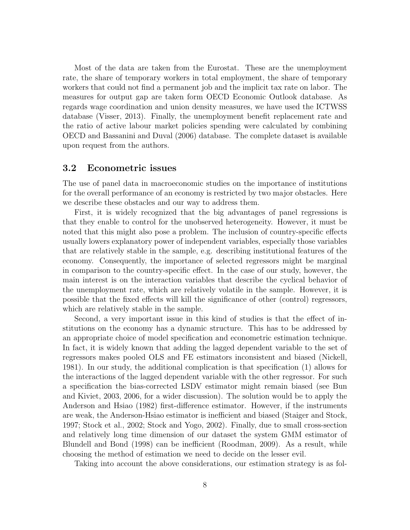Most of the data are taken from the Eurostat. These are the unemployment rate, the share of temporary workers in total employment, the share of temporary workers that could not find a permanent job and the implicit tax rate on labor. The measures for output gap are taken form OECD Economic Outlook database. As regards wage coordination and union density measures, we have used the ICTWSS database (Visser, 2013). Finally, the unemployment benefit replacement rate and the ratio of active labour market policies spending were calculated by combining OECD and Bassanini and Duval (2006) database. The complete dataset is available upon request from the authors.

#### **3.2 Econometric issues**

The use of panel data in macroeconomic studies on the importance of institutions for the overall performance of an economy is restricted by two major obstacles. Here we describe these obstacles and our way to address them.

First, it is widely recognized that the big advantages of panel regressions is that they enable to control for the unobserved heterogeneity. However, it must be noted that this might also pose a problem. The inclusion of country-specific effects usually lowers explanatory power of independent variables, especially those variables that are relatively stable in the sample, e.g. describing institutional features of the economy. Consequently, the importance of selected regressors might be marginal in comparison to the country-specific effect. In the case of our study, however, the main interest is on the interaction variables that describe the cyclical behavior of the unemployment rate, which are relatively volatile in the sample. However, it is possible that the fixed effects will kill the significance of other (control) regressors, which are relatively stable in the sample.

Second, a very important issue in this kind of studies is that the effect of institutions on the economy has a dynamic structure. This has to be addressed by an appropriate choice of model specification and econometric estimation technique. In fact, it is widely known that adding the lagged dependent variable to the set of regressors makes pooled OLS and FE estimators inconsistent and biased (Nickell, 1981). In our study, the additional complication is that specification (1) allows for the interactions of the lagged dependent variable with the other regressor. For such a specification the bias-corrected LSDV estimator might remain biased (see Bun and Kiviet, 2003, 2006, for a wider discussion). The solution would be to apply the Anderson and Hsiao (1982) first-difference estimator. However, if the instruments are weak, the Anderson-Hsiao estimator is inefficient and biased (Staiger and Stock, 1997; Stock et al., 2002; Stock and Yogo, 2002). Finally, due to small cross-section and relatively long time dimension of our dataset the system GMM estimator of Blundell and Bond (1998) can be inefficient (Roodman, 2009). As a result, while choosing the method of estimation we need to decide on the lesser evil.

Taking into account the above considerations, our estimation strategy is as fol-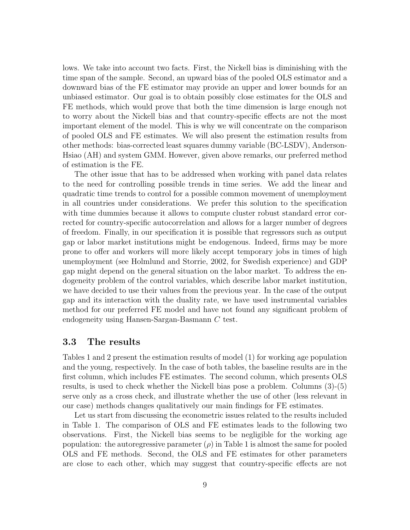lows. We take into account two facts. First, the Nickell bias is diminishing with the time span of the sample. Second, an upward bias of the pooled OLS estimator and a downward bias of the FE estimator may provide an upper and lower bounds for an unbiased estimator. Our goal is to obtain possibly close estimates for the OLS and FE methods, which would prove that both the time dimension is large enough not to worry about the Nickell bias and that country-specific effects are not the most important element of the model. This is why we will concentrate on the comparison of pooled OLS and FE estimates. We will also present the estimation results from other methods: bias-corrected least squares dummy variable (BC-LSDV), Anderson-Hsiao (AH) and system GMM. However, given above remarks, our preferred method of estimation is the FE.

The other issue that has to be addressed when working with panel data relates to the need for controlling possible trends in time series. We add the linear and quadratic time trends to control for a possible common movement of unemployment in all countries under considerations. We prefer this solution to the specification with time dummies because it allows to compute cluster robust standard error corrected for country-specific autocorrelation and allows for a larger number of degrees of freedom. Finally, in our specification it is possible that regressors such as output gap or labor market institutions might be endogenous. Indeed, firms may be more prone to offer and workers will more likely accept temporary jobs in times of high unemployment (see Holmlund and Storrie, 2002, for Swedish experience) and GDP gap might depend on the general situation on the labor market. To address the endogeneity problem of the control variables, which describe labor market institution, we have decided to use their values from the previous year. In the case of the output gap and its interaction with the duality rate, we have used instrumental variables method for our preferred FE model and have not found any significant problem of endogeneity using Hansen-Sargan-Basmann *C* test.

#### **3.3 The results**

Tables 1 and 2 present the estimation results of model (1) for working age population and the young, respectively. In the case of both tables, the baseline results are in the first column, which includes FE estimates. The second column, which presents OLS results, is used to check whether the Nickell bias pose a problem. Columns (3)-(5) serve only as a cross check, and illustrate whether the use of other (less relevant in our case) methods changes qualitatively our main findings for FE estimates.

Let us start from discussing the econometric issues related to the results included in Table 1. The comparison of OLS and FE estimates leads to the following two observations. First, the Nickell bias seems to be negligible for the working age population: the autoregressive parameter  $(\rho)$  in Table 1 is almost the same for pooled OLS and FE methods. Second, the OLS and FE estimates for other parameters are close to each other, which may suggest that country-specific effects are not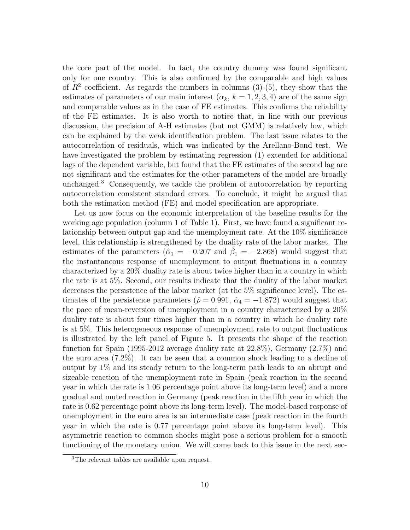the core part of the model. In fact, the country dummy was found significant only for one country. This is also confirmed by the comparable and high values of  $R^2$  coefficient. As regards the numbers in columns  $(3)-(5)$ , they show that the estimates of parameters of our main interest  $(\alpha_k, k = 1, 2, 3, 4)$  are of the same sign and comparable values as in the case of FE estimates. This confirms the reliability of the FE estimates. It is also worth to notice that, in line with our previous discussion, the precision of A-H estimates (but not GMM) is relatively low, which can be explained by the weak identification problem. The last issue relates to the autocorrelation of residuals, which was indicated by the Arellano-Bond test. We have investigated the problem by estimating regression (1) extended for additional lags of the dependent variable, but found that the FE estimates of the second lag are not significant and the estimates for the other parameters of the model are broadly unchanged.<sup>3</sup> Consequently, we tackle the problem of autocorrelation by reporting autocorrelation consistent standard errors. To conclude, it might be argued that both the estimation method (FE) and model specification are appropriate.

Let us now focus on the economic interpretation of the baseline results for the working age population (column 1 of Table 1). First, we have found a significant relationship between output gap and the unemployment rate. At the 10% significance level, this relationship is strengthened by the duality rate of the labor market. The estimates of the parameters ( $\hat{\alpha}_1 = -0.207$  and  $\hat{\beta}_1 = -2.868$ ) would suggest that the instantaneous response of unemployment to output fluctuations in a country characterized by a 20% duality rate is about twice higher than in a country in which the rate is at 5%. Second, our results indicate that the duality of the labor market decreases the persistence of the labor market (at the 5% significance level). The estimates of the persistence parameters ( $\hat{\rho} = 0.991$ ,  $\hat{\alpha}_4 = -1.872$ ) would suggest that the pace of mean-reversion of unemployment in a country characterized by a 20% duality rate is about four times higher than in a country in which he duality rate is at 5%. This heterogeneous response of unemployment rate to output fluctuations is illustrated by the left panel of Figure 5. It presents the shape of the reaction function for Spain (1995-2012 average duality rate at 22.8%), Germany (2.7%) and the euro area (7.2%). It can be seen that a common shock leading to a decline of output by 1% and its steady return to the long-term path leads to an abrupt and sizeable reaction of the unemployment rate in Spain (peak reaction in the second year in which the rate is 1.06 percentage point above its long-term level) and a more gradual and muted reaction in Germany (peak reaction in the fifth year in which the rate is 0.62 percentage point above its long-term level). The model-based response of unemployment in the euro area is an intermediate case (peak reaction in the fourth year in which the rate is 0.77 percentage point above its long-term level). This asymmetric reaction to common shocks might pose a serious problem for a smooth functioning of the monetary union. We will come back to this issue in the next sec-

<sup>3</sup>The relevant tables are available upon request.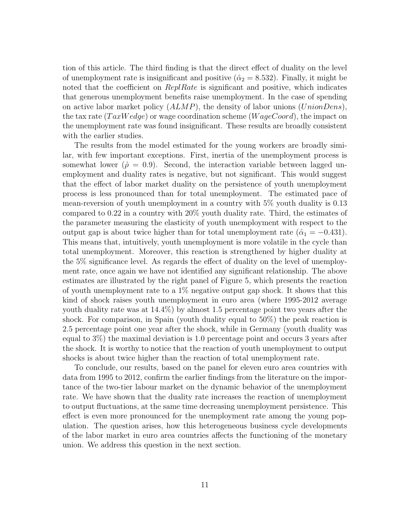tion of this article. The third finding is that the direct effect of duality on the level of unemployment rate is insignificant and positive  $(\hat{\alpha}_2 = 8.532)$ . Finally, it might be noted that the coefficient on *ReplRate* is significant and positive, which indicates that generous unemployment benefits raise unemployment. In the case of spending on active labor market policy (*ALMP*), the density of labor unions (*UnionDens*), the tax rate (*T axW edge*) or wage coordination scheme (*W ageCoord*), the impact on the unemployment rate was found insignificant. These results are broadly consistent with the earlier studies.

The results from the model estimated for the young workers are broadly similar, with few important exceptions. First, inertia of the unemployment process is somewhat lower ( $\hat{\rho} = 0.9$ ). Second, the interaction variable between lagged unemployment and duality rates is negative, but not significant. This would suggest that the effect of labor market duality on the persistence of youth unemployment process is less pronounced than for total unemployment. The estimated pace of mean-reversion of youth unemployment in a country with 5% youth duality is 0.13 compared to 0.22 in a country with 20% youth duality rate. Third, the estimates of the parameter measuring the elasticity of youth unemployment with respect to the output gap is about twice higher than for total unemployment rate  $(\hat{\alpha}_1 = -0.431)$ . This means that, intuitively, youth unemployment is more volatile in the cycle than total unemployment. Moreover, this reaction is strengthened by higher duality at the 5% significance level. As regards the effect of duality on the level of unemployment rate, once again we have not identified any significant relationship. The above estimates are illustrated by the right panel of Figure 5, which presents the reaction of youth unemployment rate to a 1% negative output gap shock. It shows that this kind of shock raises youth unemployment in euro area (where 1995-2012 average youth duality rate was at 14.4%) by almost 1.5 percentage point two years after the shock. For comparison, in Spain (youth duality equal to 50%) the peak reaction is 2.5 percentage point one year after the shock, while in Germany (youth duality was equal to 3%) the maximal deviation is 1.0 percentage point and occurs 3 years after the shock. It is worthy to notice that the reaction of youth unemployment to output shocks is about twice higher than the reaction of total unemployment rate.

To conclude, our results, based on the panel for eleven euro area countries with data from 1995 to 2012, confirm the earlier findings from the literature on the importance of the two-tier labour market on the dynamic behavior of the unemployment rate. We have shown that the duality rate increases the reaction of unemployment to output fluctuations, at the same time decreasing unemployment persistence. This effect is even more pronounced for the unemployment rate among the young population. The question arises, how this heterogeneous business cycle developments of the labor market in euro area countries affects the functioning of the monetary union. We address this question in the next section.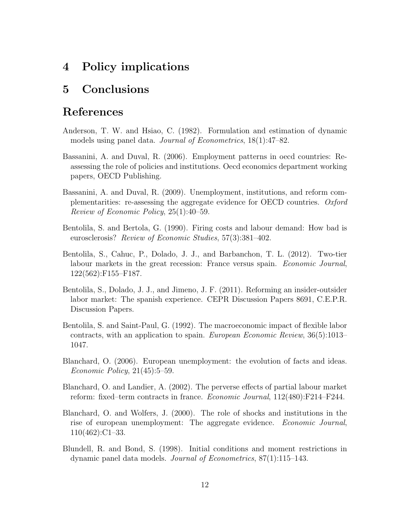# **4 Policy implications**

# **5 Conclusions**

# **References**

- Anderson, T. W. and Hsiao, C. (1982). Formulation and estimation of dynamic models using panel data. *Journal of Econometrics*, 18(1):47–82.
- Bassanini, A. and Duval, R. (2006). Employment patterns in oecd countries: Reassessing the role of policies and institutions. Oecd economics department working papers, OECD Publishing.
- Bassanini, A. and Duval, R. (2009). Unemployment, institutions, and reform complementarities: re-assessing the aggregate evidence for OECD countries. *Oxford Review of Economic Policy*, 25(1):40–59.
- Bentolila, S. and Bertola, G. (1990). Firing costs and labour demand: How bad is eurosclerosis? *Review of Economic Studies*, 57(3):381–402.
- Bentolila, S., Cahuc, P., Dolado, J. J., and Barbanchon, T. L. (2012). Two-tier labour markets in the great recession: France versus spain. *Economic Journal*, 122(562):F155–F187.
- Bentolila, S., Dolado, J. J., and Jimeno, J. F. (2011). Reforming an insider-outsider labor market: The spanish experience. CEPR Discussion Papers 8691, C.E.P.R. Discussion Papers.
- Bentolila, S. and Saint-Paul, G. (1992). The macroeconomic impact of flexible labor contracts, with an application to spain. *European Economic Review*, 36(5):1013– 1047.
- Blanchard, O. (2006). European unemployment: the evolution of facts and ideas. *Economic Policy*, 21(45):5–59.
- Blanchard, O. and Landier, A. (2002). The perverse effects of partial labour market reform: fixed–term contracts in france. *Economic Journal*, 112(480):F214–F244.
- Blanchard, O. and Wolfers, J. (2000). The role of shocks and institutions in the rise of european unemployment: The aggregate evidence. *Economic Journal*, 110(462):C1–33.
- Blundell, R. and Bond, S. (1998). Initial conditions and moment restrictions in dynamic panel data models. *Journal of Econometrics*, 87(1):115–143.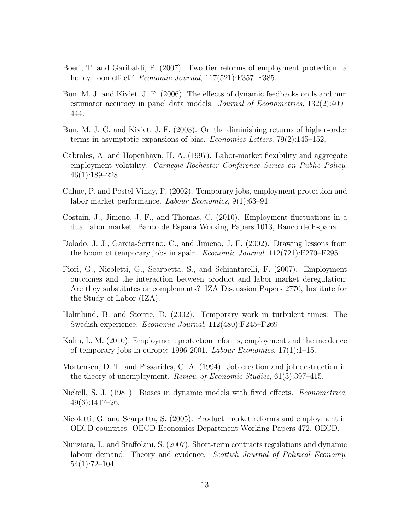- Boeri, T. and Garibaldi, P. (2007). Two tier reforms of employment protection: a honeymoon effect? *Economic Journal*, 117(521):F357–F385.
- Bun, M. J. and Kiviet, J. F. (2006). The effects of dynamic feedbacks on ls and mm estimator accuracy in panel data models. *Journal of Econometrics*, 132(2):409– 444.
- Bun, M. J. G. and Kiviet, J. F. (2003). On the diminishing returns of higher-order terms in asymptotic expansions of bias. *Economics Letters*, 79(2):145–152.
- Cabrales, A. and Hopenhayn, H. A. (1997). Labor-market flexibility and aggregate employment volatility. *Carnegie-Rochester Conference Series on Public Policy*, 46(1):189–228.
- Cahuc, P. and Postel-Vinay, F. (2002). Temporary jobs, employment protection and labor market performance. *Labour Economics*, 9(1):63–91.
- Costain, J., Jimeno, J. F., and Thomas, C. (2010). Employment fluctuations in a dual labor market. Banco de Espana Working Papers 1013, Banco de Espana.
- Dolado, J. J., Garcia-Serrano, C., and Jimeno, J. F. (2002). Drawing lessons from the boom of temporary jobs in spain. *Economic Journal*, 112(721):F270–F295.
- Fiori, G., Nicoletti, G., Scarpetta, S., and Schiantarelli, F. (2007). Employment outcomes and the interaction between product and labor market deregulation: Are they substitutes or complements? IZA Discussion Papers 2770, Institute for the Study of Labor (IZA).
- Holmlund, B. and Storrie, D. (2002). Temporary work in turbulent times: The Swedish experience. *Economic Journal*, 112(480):F245–F269.
- Kahn, L. M. (2010). Employment protection reforms, employment and the incidence of temporary jobs in europe: 1996-2001. *Labour Economics*, 17(1):1–15.
- Mortensen, D. T. and Pissarides, C. A. (1994). Job creation and job destruction in the theory of unemployment. *Review of Economic Studies*, 61(3):397–415.
- Nickell, S. J. (1981). Biases in dynamic models with fixed effects. *Econometrica*, 49(6):1417–26.
- Nicoletti, G. and Scarpetta, S. (2005). Product market reforms and employment in OECD countries. OECD Economics Department Working Papers 472, OECD.
- Nunziata, L. and Staffolani, S. (2007). Short-term contracts regulations and dynamic labour demand: Theory and evidence. *Scottish Journal of Political Economy*, 54(1):72–104.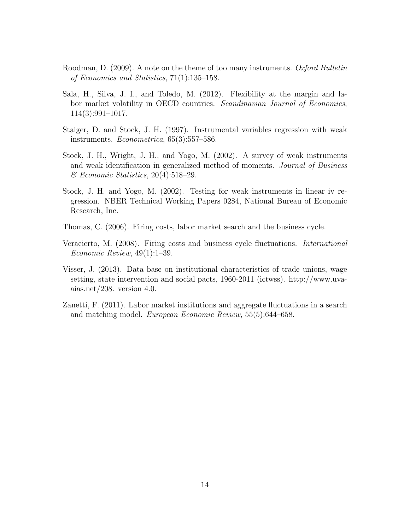- Roodman, D. (2009). A note on the theme of too many instruments. *Oxford Bulletin of Economics and Statistics*, 71(1):135–158.
- Sala, H., Silva, J. I., and Toledo, M. (2012). Flexibility at the margin and labor market volatility in OECD countries. *Scandinavian Journal of Economics*, 114(3):991–1017.
- Staiger, D. and Stock, J. H. (1997). Instrumental variables regression with weak instruments. *Econometrica*, 65(3):557–586.
- Stock, J. H., Wright, J. H., and Yogo, M. (2002). A survey of weak instruments and weak identification in generalized method of moments. *Journal of Business & Economic Statistics*, 20(4):518–29.
- Stock, J. H. and Yogo, M. (2002). Testing for weak instruments in linear iv regression. NBER Technical Working Papers 0284, National Bureau of Economic Research, Inc.
- Thomas, C. (2006). Firing costs, labor market search and the business cycle.
- Veracierto, M. (2008). Firing costs and business cycle fluctuations. *International Economic Review*, 49(1):1–39.
- Visser, J. (2013). Data base on institutional characteristics of trade unions, wage setting, state intervention and social pacts, 1960-2011 (ictwss). http://www.uvaaias.net/208. version 4.0.
- Zanetti, F. (2011). Labor market institutions and aggregate fluctuations in a search and matching model. *European Economic Review*, 55(5):644–658.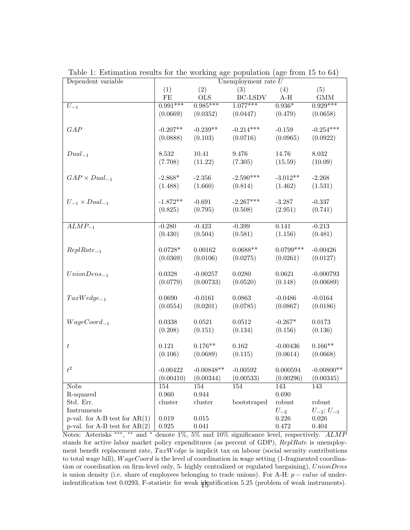| Dependent variable              | Unemployment rate $U$ |              |                          |             |                     |  |  |
|---------------------------------|-----------------------|--------------|--------------------------|-------------|---------------------|--|--|
|                                 | (1)                   | (2)          | (3)                      | (4)         | (5)                 |  |  |
|                                 | FE                    | <b>OLS</b>   | $\operatorname{BC-LSDV}$ | $A-H$       | GMM                 |  |  |
| $U_{-1}$                        | $0.991***$            | $0.985***$   | $1.077***$               | $0.936*$    | $0.929***$          |  |  |
|                                 | (0.0669)              | (0.0352)     | (0.0447)                 | (0.479)     | (0.0658)            |  |  |
|                                 |                       |              |                          |             |                     |  |  |
| GAP                             | $-0.207**$            | $-0.239**$   | $-0.214***$              | $-0.159$    | $-0.254***$         |  |  |
|                                 | (0.0888)              | (0.103)      | (0.0716)                 | (0.0965)    | (0.0922)            |  |  |
|                                 |                       |              |                          |             |                     |  |  |
| $Dual_{-1}$                     | 8.532                 | 10.41        | 9.476                    | 14.76       | 8.032               |  |  |
|                                 | (7.708)               | (11.22)      | (7.305)                  | (15.59)     | (10.09)             |  |  |
|                                 |                       |              |                          |             |                     |  |  |
| $GAP \times Dual_{-1}$          | $-2.868*$             | $-2.356$     | $-2.590***$              | $-3.012**$  | $-2.268$            |  |  |
|                                 | (1.488)               | (1.660)      | (0.814)                  | (1.462)     | (1.531)             |  |  |
|                                 |                       |              |                          |             |                     |  |  |
| $U_{-1} \times Dual_{-1}$       | $-1.872**$            | $-0.691$     | $-2.267***$              | $-3.287$    | $-0.337$            |  |  |
|                                 | (0.825)               | (0.795)      | (0.508)                  | (2.951)     | (0.741)             |  |  |
|                                 |                       |              |                          |             |                     |  |  |
| $\overline{ALMP_{-1}}$          | $-0.280$              | $-0.423$     | $-0.399$                 | 0.141       | $-0.213$            |  |  |
|                                 | (0.430)               | (0.504)      | (0.581)                  | (1.156)     | (0.481)             |  |  |
|                                 |                       |              |                          |             |                     |  |  |
| $ReplRate_{-1}$                 | $0.0728*$             | 0.00162      | $0.0688**$               | $0.0799***$ | $-0.00426$          |  |  |
|                                 | (0.0369)              | (0.0106)     | (0.0275)                 | (0.0261)    | (0.0127)            |  |  |
|                                 |                       |              |                          |             |                     |  |  |
| $UnionDens_{-1}$                | 0.0328                | $-0.00257$   | 0.0280                   | 0.0621      | $-0.000793$         |  |  |
|                                 | (0.0779)              | (0.00733)    | (0.0520)                 | (0.148)     | (0.00689)           |  |  |
|                                 |                       |              |                          |             |                     |  |  |
| $TaxWedge_{-1}$                 | 0.0690                | $-0.0161$    | 0.0863                   | $-0.0486$   | $-0.0164$           |  |  |
|                                 | (0.0554)              | (0.0201)     | (0.0785)                 | (0.0867)    | (0.0186)            |  |  |
|                                 |                       |              |                          |             |                     |  |  |
| $WageCoord_{-1}$                | 0.0338                | 0.0521       | 0.0512                   | $-0.267*$   | 0.0173              |  |  |
|                                 | (0.208)               | (0.151)      | (0.134)                  | (0.156)     | (0.136)             |  |  |
|                                 |                       |              |                          |             |                     |  |  |
| $\,t\,$                         | 0.121                 | $0.176**$    | $0.162\,$                | $-0.00436$  | $0.166**$           |  |  |
|                                 | (0.106)               | (0.0689)     | (0.115)                  | (0.0614)    | (0.0668)            |  |  |
|                                 |                       |              |                          |             |                     |  |  |
| $t^2\,$                         | $-0.00422$            | $-0.00848**$ | $-0.00592$               | 0.000594    | $-0.00800**$        |  |  |
|                                 | (0.00410)             | (0.00344)    | (0.00533)                | (0.00296)   | (0.00345)           |  |  |
| <b>Nobs</b>                     | 154                   | 154          | 154                      | 143         | 143                 |  |  |
| R-squared                       | 0.960                 | 0.944        |                          | 0.690       |                     |  |  |
| Std. Err.                       | cluster               | cluster      | bootstraped              | robust      | robust              |  |  |
| Instruments                     |                       |              |                          | $U_{-2}$    | $U_{-2}$ ; $U_{-3}$ |  |  |
| p-val. for A-B test for $AR(1)$ | 0.019                 | $\,0.015\,$  |                          | 0.226       | 0.026               |  |  |
| p-val. for A-B test for $AR(2)$ | 0.925                 | 0.041        |                          | 0.472       | 0.404               |  |  |

Table 1: Estimation results for the working age population (age from 15 to 64)

Notes: Asterisks *∗∗∗* , *∗∗* and *<sup>∗</sup>* denote 1%, 5% and 10% significance level, respectively. *ALMP* stands for active labor market policy expenditures (as percent of GDP), *ReplRate* is unemployment benefit replacement rate,  $TaxWedge$  is implicit tax on labour (social security contributions to total wage bill), *W ageCoord* is the level of coordination in wage setting (1-fragmented coordination or coordination on firm-level only, 5- highly centralized or regulated bargaining), *UnionDens* is union density (i.e. share of employees belonging to trade unions). For A-H: *p − value* of underindentification test 0.0293, F-statistic for weak identification 5.25 (problem of weak instruments).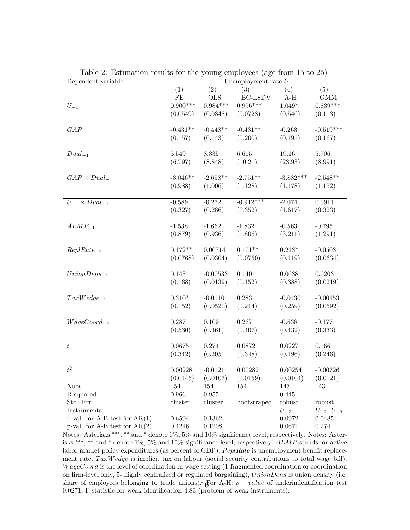| Dependent variable              | Unemployment rate $U$ |            |                          |             |                     |  |
|---------------------------------|-----------------------|------------|--------------------------|-------------|---------------------|--|
|                                 | (1)                   | (2)        | (3)                      | (4)         | (5)                 |  |
|                                 | FE                    | <b>OLS</b> | $\operatorname{BC-LSDV}$ | $A-H$       | GMM                 |  |
| $U_{-1}$                        | $0.900***$            | $0.984***$ | $0.996***$               | $1.049*$    | $0.839***$          |  |
|                                 | (0.0549)              | (0.0348)   | (0.0728)                 | (0.546)     | (0.113)             |  |
|                                 |                       |            |                          |             |                     |  |
| GAP                             | $-0.431**$            | $-0.448**$ | $-0.431**$               | $-0.263$    | $-0.519***$         |  |
|                                 | (0.157)               | (0.143)    | (0.200)                  | (0.195)     | (0.167)             |  |
|                                 |                       |            |                          |             |                     |  |
| $Dual_{-1}$                     | 5.549                 | 8.335      | 6.615                    | 19.16       | 5.706               |  |
|                                 | (6.797)               | (8.848)    | (10.21)                  | (23.93)     | (8.991)             |  |
|                                 |                       |            |                          |             |                     |  |
| $GAP \times Dual_{-1}$          | $-3.046**$            | $-2.658**$ | $-2.751**$               | $-3.882***$ | $-2.548**$          |  |
|                                 | (0.988)               | (1.006)    | (1.128)                  | (1.178)     | (1.152)             |  |
|                                 |                       |            |                          |             |                     |  |
| $U_{-1} \times Dual_{-1}$       | $-0.589$              | $-0.272$   | $-0.912***$              | $-2.074$    | 0.0911              |  |
|                                 | (0.327)               | (0.286)    | (0.352)                  | (1.617)     | (0.323)             |  |
|                                 |                       |            |                          |             |                     |  |
| $ALMP_{-1}$                     | $-1.538$              | $-1.662$   | $-1.832$                 | $-0.563$    | $-0.795$            |  |
|                                 | (0.879)               | (0.936)    | (1.806)                  | (3.211)     | (1.291)             |  |
|                                 |                       |            |                          |             |                     |  |
| $ReplRate_{-1}$                 | $0.172**$             | 0.00714    | $0.171**$                | $0.213*$    | $-0.0503$           |  |
|                                 | (0.0768)              | (0.0304)   | (0.0750)                 | (0.119)     | (0.0634)            |  |
|                                 |                       |            |                          |             |                     |  |
| $UnionDens_{-1}$                | 0.143                 | $-0.00533$ | 0.140                    | 0.0638      | 0.0203              |  |
|                                 | (0.168)               | (0.0139)   | (0.152)                  | (0.388)     | (0.0219)            |  |
|                                 |                       |            |                          |             |                     |  |
| $TaxWedge_{-1}$                 | $0.310*$              | $-0.0110$  | 0.283                    | $-0.0430$   | $-0.00153$          |  |
|                                 | (0.152)               | (0.0520)   | (0.214)                  | (0.259)     | (0.0592)            |  |
|                                 |                       |            |                          |             |                     |  |
| $WageCoord_{-1}$                | 0.287                 | $0.109\,$  | 0.267                    | $-0.638$    | $-0.177$            |  |
|                                 | (0.530)               | (0.361)    | (0.407)                  | (0.432)     | (0.333)             |  |
|                                 |                       |            |                          |             |                     |  |
| $\,t\,$                         | $0.0675\,$            | 0.274      | 0.0872                   | 0.0227      | 0.166               |  |
|                                 | (0.342)               | (0.205)    | (0.348)                  | (0.196)     | (0.246)             |  |
|                                 |                       |            |                          |             |                     |  |
| $t^2$                           | 0.00228               | $-0.0121$  | 0.00282                  | 0.00254     | $-0.00726$          |  |
|                                 | (0.0145)              | (0.0107)   | (0.0159)                 | (0.0104)    | (0.0121)            |  |
| <b>Nobs</b>                     | 154                   | 154        | 154                      | 143         | 143                 |  |
| R-squared                       | 0.966                 | 0.955      |                          | 0.445       |                     |  |
| Std. Err.                       | cluster               | cluster    | bootstraped              | robust      | robust              |  |
| Instruments                     |                       |            |                          | $U_{-2}$    | $U_{-2}$ ; $U_{-3}$ |  |
| p-val. for A-B test for $AR(1)$ | 0.6594                | 0.1362     |                          | 0.0972      | 0.0485              |  |
| p-val. for A-B test for $AR(2)$ | 0.4216                | 0.1208     |                          | 0.0671      | $0.274\,$           |  |

Table 2: Estimation results for the young employees (age from 15 to 25)

Notes: Asterisks *∗∗∗* , *∗∗* and *<sup>∗</sup>* denote 1%, 5% and 10% significance level, respectively. Notes: Asterisks *∗∗∗* , *∗∗* and *<sup>∗</sup>* denote 1%, 5% and 10% significance level, respectively. *ALMP* stands for active labor market policy expenditures (as percent of GDP), *ReplRate* is unemployment benefit replacement rate,  $TaxWedge$  is implicit tax on labour (social security contributions to total wage bill), *W ageCoord* is the level of coordination in wage setting (1-fragmented coordination or coordination on firm-level only, 5- highly centralized or regulated bargaining), *UnionDens* is union density (i.e. share of employees belonging to trade unions).  $16$  or A-H:  $p - value$  of underindentification test 0.0271, F-statistic for weak identification 4.83 (problem of weak instruments).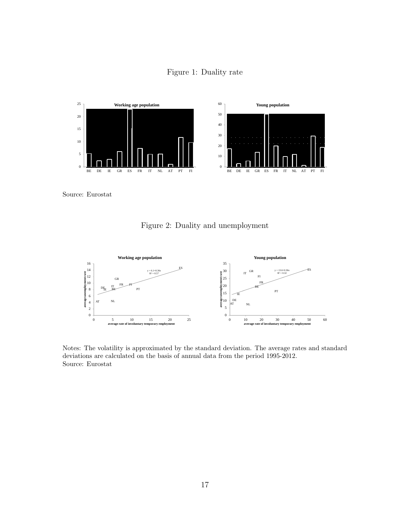



Source: Eurostat

Figure 2: Duality and unemployment



Notes: The volatility is approximated by the standard deviation. The average rates and standard deviations are calculated on the basis of annual data from the period 1995-2012. Source: Eurostat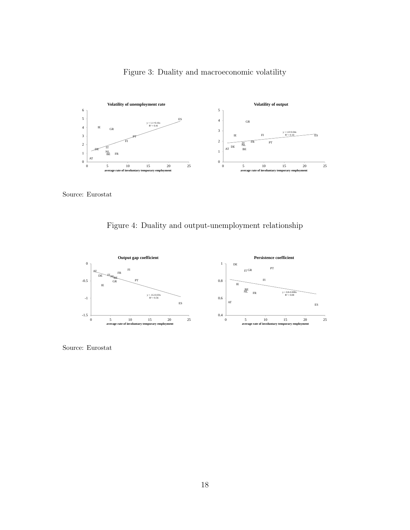

Figure 3: Duality and macroeconomic volatility

Source: Eurostat

Figure 4: Duality and output-unemployment relationship



Source: Eurostat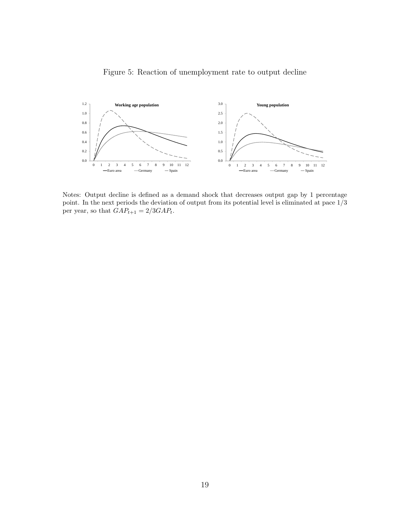



Notes: Output decline is defined as a demand shock that decreases output gap by 1 percentage point. In the next periods the deviation of output from its potential level is eliminated at pace 1/3 per year, so that  $GAP_{t+1} = 2/3GAP_{t}.$